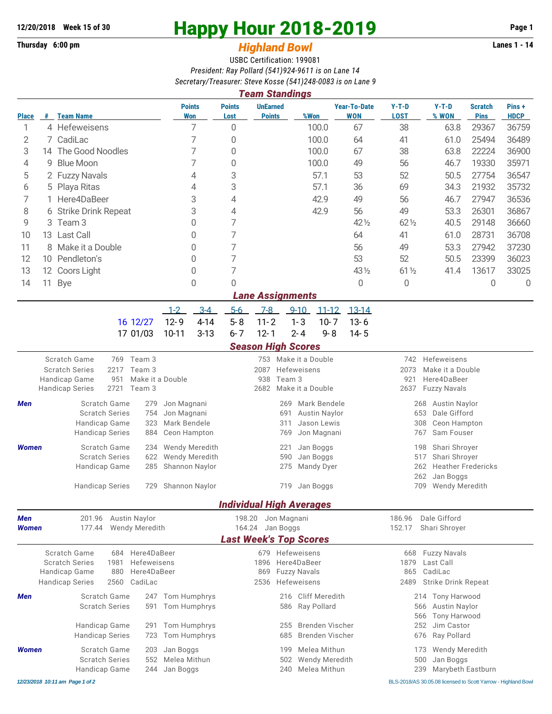**Thursday 6:00 pm** *Highland Bowl* 

## **12/20/2018** Week 15 of 30<br>
Thursday 6:00 pm<br> **Happy Hour 2018-2019 Page 1**<br> **Highland Rowl**

## USBC Certification: 199081 *President: Ray Pollard (541)924-9611 is on Lane 14 Secretary/Treasurer: Steve Kosse (541)248-0083 is on Lane 9*

|                     |                                                     |                                                       |                       |                |                             |                                                                           | <b>Team Standings</b>                          |             |                  |                                   |                                                  |                                                |                               |                      |  |  |
|---------------------|-----------------------------------------------------|-------------------------------------------------------|-----------------------|----------------|-----------------------------|---------------------------------------------------------------------------|------------------------------------------------|-------------|------------------|-----------------------------------|--------------------------------------------------|------------------------------------------------|-------------------------------|----------------------|--|--|
| <b>Place</b>        | #                                                   | <b>Team Name</b>                                      |                       |                | <b>Points</b><br><b>Won</b> | <b>Points</b><br>Lost                                                     | <b>UnEarned</b><br><b>Points</b>               |             | %Won             | <b>Year-To-Date</b><br><b>WON</b> | $Y-T-D$<br><b>LOST</b>                           | $Y-T-D$<br>% WON                               | <b>Scratch</b><br><b>Pins</b> | Pins+<br><b>HDCP</b> |  |  |
| 1                   |                                                     | 4 Hefeweisens                                         |                       |                | 7                           | 0                                                                         |                                                |             | 100.0            | 67                                | 38                                               | 63.8                                           | 29367                         | 36759                |  |  |
| 2                   |                                                     | 7 CadiLac                                             |                       | 7              |                             | 0                                                                         |                                                |             | 100.0            | 64                                | 41                                               | 61.0                                           | 25494                         | 36489                |  |  |
| 3                   |                                                     | 14 The Good Noodles                                   |                       | 7              |                             | 0                                                                         |                                                |             | 100.0            | 67                                | 38                                               | 63.8                                           | 22224                         | 36900                |  |  |
| 4                   | 9                                                   | <b>Blue Moon</b>                                      |                       | 7              |                             | 0                                                                         |                                                |             | 100.0            | 49                                | 56                                               | 46.7                                           | 19330                         | 35971                |  |  |
| 5                   |                                                     | 2 Fuzzy Navals                                        |                       | 4              |                             | 3                                                                         |                                                |             | 57.1             | 53                                | 52                                               | 50.5                                           | 27754                         | 36547                |  |  |
| 6                   | 5                                                   | Playa Ritas                                           |                       | 4              |                             | 3                                                                         |                                                |             | 57.1             | 36                                | 69                                               | 34.3                                           | 21932                         | 35732                |  |  |
| 7                   |                                                     | Here4DaBeer                                           |                       |                | 3                           | 4                                                                         |                                                |             | 42.9             | 49                                | 56                                               | 46.7                                           | 27947                         | 36536                |  |  |
| 8                   |                                                     | 6 Strike Drink Repeat                                 |                       | 3              |                             | 4                                                                         |                                                |             | 42.9             | 56                                | 49                                               | 53.3                                           | 26301                         | 36867                |  |  |
| 9                   | 3                                                   | Team <sub>3</sub>                                     |                       | 0              |                             | 7                                                                         |                                                |             |                  | 42 1/2                            | $62\%$                                           | 40.5                                           | 29148                         | 36660                |  |  |
| 10                  |                                                     | Last Call<br>13                                       |                       | 0              |                             | 7                                                                         |                                                |             |                  | 64                                | 41                                               | 61.0                                           | 28731                         | 36708                |  |  |
| 11                  | 8                                                   | Make it a Double                                      |                       | 0              |                             | 7                                                                         |                                                |             |                  | 56                                | 49                                               | 53.3                                           | 27942                         | 37230                |  |  |
| 12                  |                                                     | 10 Pendleton's                                        |                       |                | 0                           | 7                                                                         |                                                |             |                  | 53                                | 52                                               | 50.5                                           | 23399                         | 36023                |  |  |
| 13                  |                                                     | 12 Coors Light                                        |                       |                | 0                           | 7                                                                         |                                                |             |                  | 43 1/2                            | $61\frac{1}{2}$                                  | 41.4                                           | 13617                         | 33025                |  |  |
| 14                  | 11                                                  | <b>Bye</b>                                            |                       |                | 0                           | 0                                                                         |                                                |             |                  | 0                                 | 0                                                |                                                | 0                             | 0                    |  |  |
|                     |                                                     |                                                       |                       |                |                             |                                                                           | <b>Lane Assignments</b>                        |             |                  |                                   |                                                  |                                                |                               |                      |  |  |
|                     |                                                     |                                                       |                       | $1 - 2$        | $3-4$                       | $5-6$                                                                     | $7-8$                                          | $9 - 10$    | $11 - 12$        | $13 - 14$                         |                                                  |                                                |                               |                      |  |  |
|                     |                                                     |                                                       | 16 12/27              | $12 - 9$       | $4 - 14$                    | $5 - 8$                                                                   | $11 - 2$                                       | $1 - 3$     | $10 - 7$         | $13 - 6$                          |                                                  |                                                |                               |                      |  |  |
|                     |                                                     |                                                       | 17 01/03              | $10 - 11$      | $3 - 13$                    | $6 - 7$                                                                   | $12 - 1$                                       | $2 - 4$     | $9 - 8$          | $14 - 5$                          |                                                  |                                                |                               |                      |  |  |
|                     |                                                     |                                                       |                       |                |                             |                                                                           | <b>Season High Scores</b>                      |             |                  |                                   |                                                  |                                                |                               |                      |  |  |
|                     |                                                     | Scratch Game                                          | 769 Team 3            |                |                             |                                                                           | 753                                            |             | Make it a Double |                                   | Hefeweisens<br>742                               |                                                |                               |                      |  |  |
|                     |                                                     | <b>Scratch Series</b><br>2217<br>Handicap Game<br>951 | Team 3                |                | Make it a Double            |                                                                           | 2087<br>Hefeweisens<br>938<br>Team 3           |             |                  |                                   |                                                  | 2073<br>Make it a Double<br>Here4DaBeer<br>921 |                               |                      |  |  |
|                     |                                                     | 2721<br><b>Handicap Series</b>                        |                       |                |                             | 2682<br>Make it a Double                                                  |                                                |             |                  |                                   | 2637<br><b>Fuzzy Navals</b>                      |                                                |                               |                      |  |  |
| Men                 | Scratch Game<br>279                                 |                                                       |                       | Jon Magnani    |                             |                                                                           |                                                | 269         |                  |                                   | <b>Austin Naylor</b><br>268                      |                                                |                               |                      |  |  |
|                     |                                                     | <b>Scratch Series</b>                                 | 754<br>Jon Magnani    |                |                             | Mark Bendele<br>Austin Naylor<br>691                                      |                                                |             |                  |                                   | 653<br>Dale Gifford                              |                                                |                               |                      |  |  |
|                     |                                                     | Handicap Game                                         | 323                   | Mark Bendele   |                             |                                                                           |                                                | 311         | Jason Lewis      |                                   |                                                  | 308<br>Ceon Hampton                            |                               |                      |  |  |
|                     |                                                     | <b>Handicap Series</b>                                | 884                   | Ceon Hampton   |                             |                                                                           |                                                | 769         | Jon Magnani      |                                   |                                                  | Sam Fouser<br>767                              |                               |                      |  |  |
| <b>Women</b>        |                                                     | Scratch Game                                          | 234                   | Wendy Meredith |                             |                                                                           | 221                                            | Jan Boggs   |                  | 198<br>Shari Shroyer              |                                                  |                                                |                               |                      |  |  |
|                     |                                                     | <b>Scratch Series</b>                                 | 622<br>Wendy Meredith |                |                             | 590<br>Jan Boggs                                                          |                                                |             |                  | 517<br>Shari Shroyer              |                                                  |                                                |                               |                      |  |  |
|                     |                                                     | Handicap Game                                         | 285                   | Shannon Naylor |                             |                                                                           |                                                | 275         | Mandy Dyer       |                                   |                                                  | 262                                            | <b>Heather Fredericks</b>     |                      |  |  |
|                     |                                                     | <b>Handicap Series</b>                                | Shannon Naylor        |                |                             | Jan Boggs<br>719                                                          |                                                |             |                  |                                   | Jan Boggs<br>262<br>709<br><b>Wendy Meredith</b> |                                                |                               |                      |  |  |
|                     |                                                     |                                                       | 729                   |                |                             |                                                                           |                                                |             |                  |                                   |                                                  |                                                |                               |                      |  |  |
|                     |                                                     | 201.96                                                | <b>Austin Naylor</b>  |                |                             | 198.20                                                                    | <b>Individual High Averages</b><br>Jon Magnani |             |                  |                                   | 186.96                                           | Dale Gifford                                   |                               |                      |  |  |
| Men<br><b>Women</b> |                                                     | 177.44                                                | <b>Wendy Meredith</b> |                |                             | 164.24                                                                    | Jan Boggs                                      |             |                  |                                   | 152.17                                           | Shari Shroyer                                  |                               |                      |  |  |
|                     |                                                     |                                                       |                       |                |                             |                                                                           | <b>Last Week's Top Scores</b>                  |             |                  |                                   |                                                  |                                                |                               |                      |  |  |
|                     |                                                     | Scratch Game<br>684                                   | Here4DaBeer           |                |                             |                                                                           | 679 Hefeweisens                                |             |                  |                                   | 668                                              | <b>Fuzzy Navals</b>                            |                               |                      |  |  |
|                     |                                                     | <b>Scratch Series</b><br>1981                         | Hefeweisens           |                |                             |                                                                           | 1896                                           | Here4DaBeer |                  |                                   | 1879                                             | Last Call                                      |                               |                      |  |  |
|                     |                                                     | Here4DaBeer<br>Handicap Game<br>880                   |                       |                |                             | <b>Fuzzy Navals</b><br>869                                                |                                                |             |                  |                                   | CadiLac<br>865                                   |                                                |                               |                      |  |  |
|                     | <b>Handicap Series</b><br>2560<br>CadiLac           |                                                       |                       |                |                             | Hefeweisens<br>2536<br><b>Cliff Meredith</b><br>216<br>Ray Pollard<br>586 |                                                |             |                  | 2489                              | Strike Drink Repeat                              |                                                |                               |                      |  |  |
| Men                 | Scratch Game<br>247<br><b>Scratch Series</b><br>591 |                                                       |                       | Tom Humphrys   |                             |                                                                           |                                                |             |                  |                                   | Tony Harwood<br>214                              |                                                |                               |                      |  |  |
|                     |                                                     |                                                       |                       | Tom Humphrys   |                             |                                                                           |                                                |             |                  |                                   | <b>Austin Naylor</b><br>566                      |                                                |                               |                      |  |  |
|                     |                                                     | Handicap Game                                         | 291                   | Tom Humphrys   |                             |                                                                           |                                                | 255         | Brenden Vischer  |                                   |                                                  | Tony Harwood<br>566<br>Jim Castor<br>252       |                               |                      |  |  |
|                     |                                                     | <b>Handicap Series</b>                                | 723                   | Tom Humphrys   |                             |                                                                           |                                                | 685         | Brenden Vischer  |                                   |                                                  | 676<br>Ray Pollard                             |                               |                      |  |  |
|                     |                                                     | Scratch Game                                          |                       | Jan Boggs      |                             |                                                                           |                                                | 199         | Melea Mithun     |                                   |                                                  | Wendy Meredith                                 |                               |                      |  |  |
| <b>Women</b>        | 203<br><b>Scratch Series</b><br>552                 |                                                       |                       | Melea Mithun   |                             | 173<br>Wendy Meredith<br>500<br>Jan Boggs<br>502                          |                                                |             |                  |                                   |                                                  |                                                |                               |                      |  |  |
|                     |                                                     | Handicap Game                                         | 244                   | Jan Boggs      |                             |                                                                           |                                                | 240         | Melea Mithun     |                                   |                                                  | 239<br>Marybeth Eastburn                       |                               |                      |  |  |
|                     |                                                     |                                                       |                       |                |                             |                                                                           |                                                |             |                  |                                   |                                                  |                                                |                               |                      |  |  |

*12/23/2018 10:11 am Page 1 of 2* BLS-2018/AS 30.05.08 licensed to Scott Yarrow - Highland Bowl